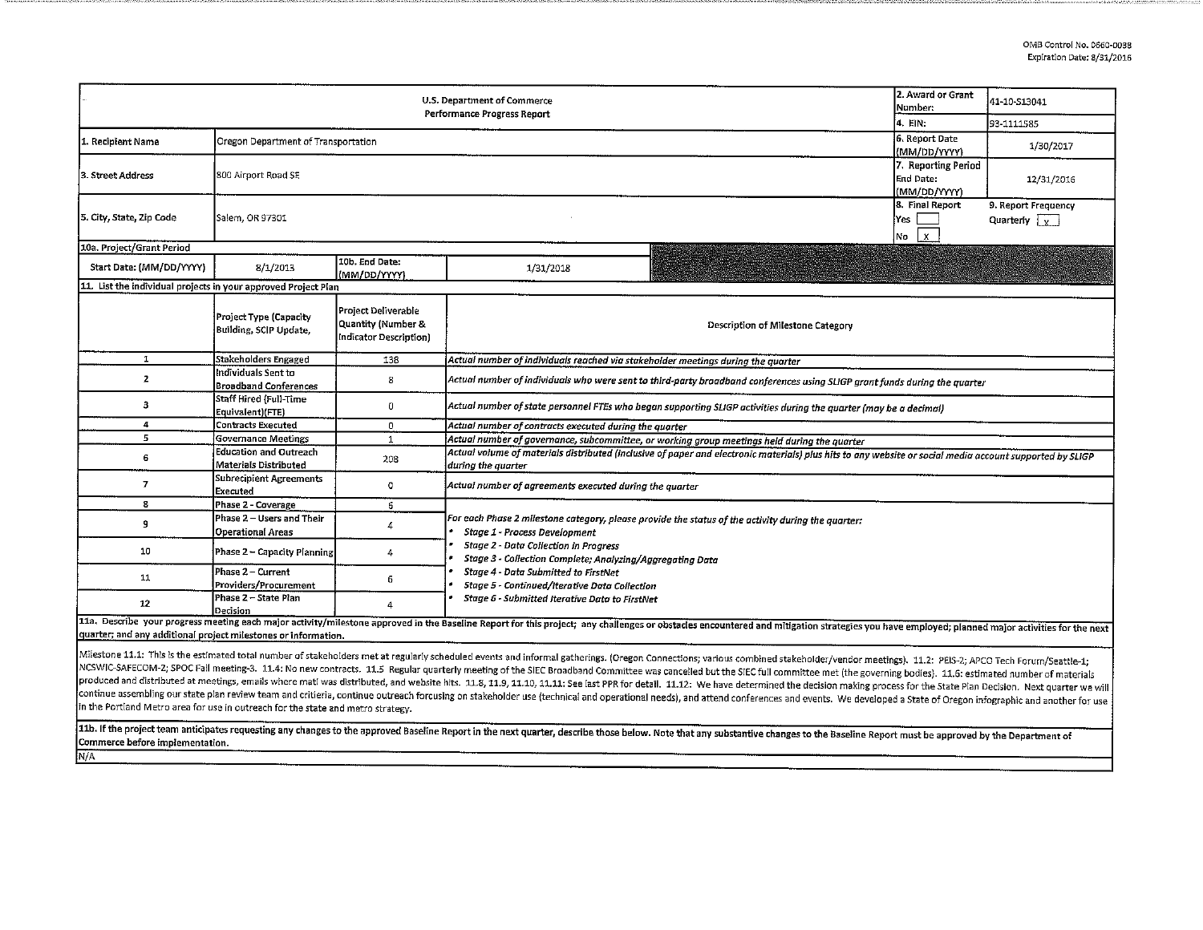|                                                                | 2. Award or Grant<br>Number:                          | 41-10-S13041                                                        |                                                                                                                                                                                                                                |                                                  |            |  |  |  |
|----------------------------------------------------------------|-------------------------------------------------------|---------------------------------------------------------------------|--------------------------------------------------------------------------------------------------------------------------------------------------------------------------------------------------------------------------------|--------------------------------------------------|------------|--|--|--|
|                                                                | 14. EIN:                                              | 93-1111585                                                          |                                                                                                                                                                                                                                |                                                  |            |  |  |  |
| 1. Recipient Name                                              | Oregon Department of Transportation                   | 6. Report Date<br>(MM/DD/YYYY)                                      | 1/30/2017                                                                                                                                                                                                                      |                                                  |            |  |  |  |
| 3. Street Address                                              | 800 Airport Road SE                                   |                                                                     |                                                                                                                                                                                                                                | 7. Reporting Period<br>End Date:<br>(MM/DD/YYYY) | 12/31/2016 |  |  |  |
| 5. City, State, Zip Code                                       | Salem, OR 97301                                       | 8. Final Report<br>Yes<br>$\mathbf x$<br>No                         | 9. Report Frequency<br>Quarterly $\sqrt{x}$                                                                                                                                                                                    |                                                  |            |  |  |  |
| 10a. Project/Grant Period                                      |                                                       |                                                                     |                                                                                                                                                                                                                                |                                                  |            |  |  |  |
| Start Date: (MM/DD/YYYY)                                       | 8/1/2013                                              | 10b. End Date:<br>(MM/DD/YYYY)                                      | 1/31/2018                                                                                                                                                                                                                      |                                                  |            |  |  |  |
| 11. List the individual projects in your approved Project Plan |                                                       |                                                                     |                                                                                                                                                                                                                                |                                                  |            |  |  |  |
|                                                                | Project Type (Capacity<br>Building, SCIP Update,      | Project Deliverable<br>Quantity (Number &<br>Indicator Description) | Description of Milestone Category                                                                                                                                                                                              |                                                  |            |  |  |  |
| $\mathbf{1}$                                                   | Stakeholders Engaged                                  | 138                                                                 | Actual number of individuals reached via stakeholder meetings during the quarter                                                                                                                                               |                                                  |            |  |  |  |
| 2                                                              | Individuals Sent to<br><b>Broadband Conferences</b>   | 8                                                                   | Actual number of individuals who were sent to third-party broadband conferences using SLIGP grant funds during the quarter                                                                                                     |                                                  |            |  |  |  |
| з                                                              | Staff Hired (Full-Time<br>Equivalent)(FTE)            | 0                                                                   | Actual number of state personnel FTEs who began supporting SLIGP activities during the quarter (may be a decimal)                                                                                                              |                                                  |            |  |  |  |
| 4                                                              | Contracts Executed                                    | 0                                                                   | Actual number of contracts executed during the quarter                                                                                                                                                                         |                                                  |            |  |  |  |
| 5                                                              | Governance Meetings                                   | 1                                                                   | Actual number of governance, subcommittee, or working group meetings held during the quarter                                                                                                                                   |                                                  |            |  |  |  |
| 6                                                              | Education and Outreach<br>Materials Distributed       | 208                                                                 | Actual volume of materials distributed (inclusive of paper and electronic materials) plus hits to any website or social media account supported by SLIGP<br>during the quarter                                                 |                                                  |            |  |  |  |
| $\overline{I}$                                                 | Subrecipient Agreements<br>Executed                   | o                                                                   | Actual number of agreements executed during the quarter                                                                                                                                                                        |                                                  |            |  |  |  |
| 8                                                              | Phase 2 - Coverage                                    | 6                                                                   |                                                                                                                                                                                                                                |                                                  |            |  |  |  |
| 9                                                              | Phase 2 - Users and Their<br><b>Operational Areas</b> | 4                                                                   | For each Phase 2 milestone category, please provide the status of the activity during the quarter:<br>Stage 1 - Process Development                                                                                            |                                                  |            |  |  |  |
| 10                                                             | Phase 2 - Capacity Planning                           | 4                                                                   | <b>Stage 2 - Data Collection in Progress</b><br>Stage 3 - Collection Complete; Analyzing/Aggregating Data                                                                                                                      |                                                  |            |  |  |  |
| 11                                                             | Phase 2 - Current<br>Providers/Procurement            | 6                                                                   | Stage 4 - Data Submitted to FirstNet<br>Stage 5 - Continued/Iterative Data Collection<br>Stage 6 - Submitted Iterative Data to FirstNet                                                                                        |                                                  |            |  |  |  |
| 12                                                             | Phase 2 - State Plan<br>Decision                      | 4                                                                   |                                                                                                                                                                                                                                |                                                  |            |  |  |  |
| quarter; and any additional project milestones or information. |                                                       |                                                                     | 11a. Describe your progress meeting each major activity/milestone approved in the Baseline Report for this project; any challenges or obstacles encountered and mitigation strategies you have employed; planned major activit |                                                  |            |  |  |  |

Milestone 11.1: This is the estimated total number of stakeholders met at regularly scheduled events and informal gatherings. (Oregon Connections; various combined stakeholder/vendor meetings). 11.2: PEIS-2; APCO Tech Foru NCSWIC-SAFECOM-2; SPOC Fall meeting-3. 11.4: No new contracts. 11.5 Regular quarterly meeting of the SIEC Broadband Committee was cancelled but the SIEC full committee met (the governing bodies). 11.6: estimated number of produced and distributed at meetings, emails where matl was distributed, and website hits. 11.8, 11.9, 11.10, 11.11. See last PPR for detail. 11.12: We have determined the decision making process for the State Plan Decisio propertional assembling our state plan review team and critieria, continue outreach forcusing on stakeholder use (technical and operational needs), and attend conferences and events. We developed a State of Oregon infograp in the Portland Metro area for use in outreach for the state and metro strategy.

11b. If the project team anticipates requesting any changes to the approved Baseline Report in the next quarter, describe those below. Note that any substantive changes to the Baseline Report must be approved by the Depart Commerce before implementation. N/A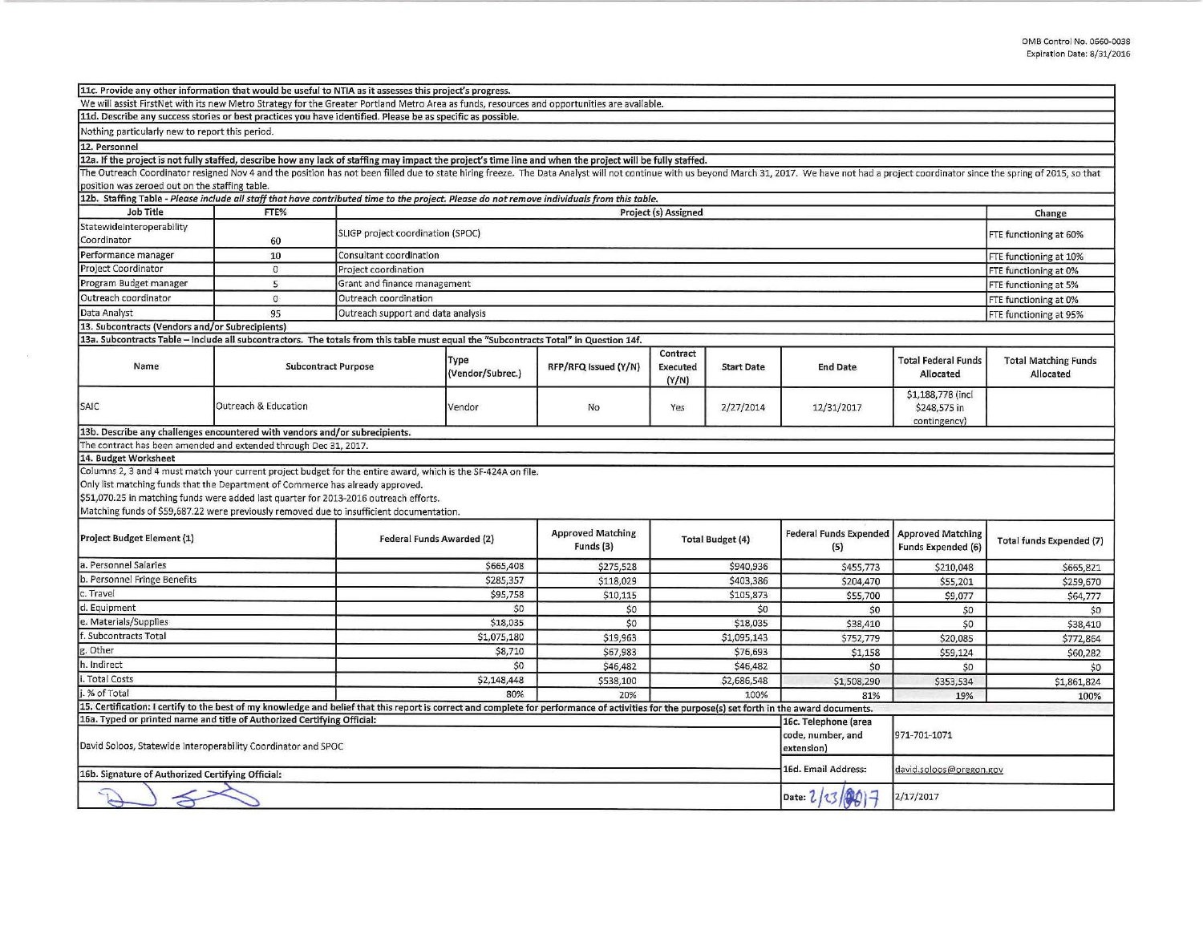| We will assist FirstNet with its new Metro Strategy for the Greater Portland Metro Area as funds, resources and opportunities are available.<br>11d. Describe any success stories or best practices you have identified. Please be as specific as possible.<br>Nothing particularly new to report this period.<br>12. Personnel<br>12a. If the project is not fully staffed, describe how any lack of staffing may impact the project's time line and when the project will be fully staffed.<br>The Outreach Coordinator resigned Nov 4 and the position has not been filled due to state hiring freeze. The Data Analyst will not continue with us beyond March 31, 2017. We have not had a project coordinator since the spr<br>position was zeroed out on the staffing table.<br>12b. Staffing Table - Please include all staff that have contributed time to the project. Please do not remove individuals from this table.<br><b>Job Title</b><br>FTE%<br>Project (s) Assigned<br>StatewideInteroperability<br>SLIGP project coordination (SPOC)<br>Coordinator<br>60<br>Performance manager<br>Consultant coordination<br>10<br>Project Coordinator<br>$\mathbf 0$<br>Project coordination<br>Program Budget manager<br>Grant and finance management<br>5<br>Outreach coordinator<br>$\Omega$<br>Outreach coordination<br>Data Analyst<br>95<br>Outreach support and data analysis<br>13. Subcontracts (Vendors and/or Subrecipients)<br>13a. Subcontracts Table - Include all subcontractors. The totals from this table must equal the "Subcontracts Total" in Question 14f.<br>Contract<br>Type<br>Total Federal Funds<br>Name<br><b>Subcontract Purpose</b><br>RFP/RFQ Issued (Y/N)<br><b>Start Date</b><br>Executed<br><b>End Date</b><br>(Vendor/Subrec.)<br>Allocated<br>(Y/N)<br>\$1,188,778 (incl.<br>SAIC<br>Outreach & Education<br>Vendor<br>No<br>2/27/2014<br>Yes<br>12/31/2017<br>\$248,575 in<br>contingency<br>13b. Describe any challenges encountered with vendors and/or subrecipients.<br>The contract has been amended and extended through Dec 31, 2017. | Change<br>FTE functioning at 60%<br>FTE functioning at 10%<br>FTE functioning at 0%<br>FTE functioning at 5%<br>FTE functioning at 0%<br>FTE functioning at 95%<br><b>Total Matching Funds</b> |  |
|----------------------------------------------------------------------------------------------------------------------------------------------------------------------------------------------------------------------------------------------------------------------------------------------------------------------------------------------------------------------------------------------------------------------------------------------------------------------------------------------------------------------------------------------------------------------------------------------------------------------------------------------------------------------------------------------------------------------------------------------------------------------------------------------------------------------------------------------------------------------------------------------------------------------------------------------------------------------------------------------------------------------------------------------------------------------------------------------------------------------------------------------------------------------------------------------------------------------------------------------------------------------------------------------------------------------------------------------------------------------------------------------------------------------------------------------------------------------------------------------------------------------------------------------------------------------------------------------------------------------------------------------------------------------------------------------------------------------------------------------------------------------------------------------------------------------------------------------------------------------------------------------------------------------------------------------------------------------------------------------------------------------------------------------------------------------------------------|------------------------------------------------------------------------------------------------------------------------------------------------------------------------------------------------|--|
|                                                                                                                                                                                                                                                                                                                                                                                                                                                                                                                                                                                                                                                                                                                                                                                                                                                                                                                                                                                                                                                                                                                                                                                                                                                                                                                                                                                                                                                                                                                                                                                                                                                                                                                                                                                                                                                                                                                                                                                                                                                                                        |                                                                                                                                                                                                |  |
|                                                                                                                                                                                                                                                                                                                                                                                                                                                                                                                                                                                                                                                                                                                                                                                                                                                                                                                                                                                                                                                                                                                                                                                                                                                                                                                                                                                                                                                                                                                                                                                                                                                                                                                                                                                                                                                                                                                                                                                                                                                                                        |                                                                                                                                                                                                |  |
|                                                                                                                                                                                                                                                                                                                                                                                                                                                                                                                                                                                                                                                                                                                                                                                                                                                                                                                                                                                                                                                                                                                                                                                                                                                                                                                                                                                                                                                                                                                                                                                                                                                                                                                                                                                                                                                                                                                                                                                                                                                                                        |                                                                                                                                                                                                |  |
|                                                                                                                                                                                                                                                                                                                                                                                                                                                                                                                                                                                                                                                                                                                                                                                                                                                                                                                                                                                                                                                                                                                                                                                                                                                                                                                                                                                                                                                                                                                                                                                                                                                                                                                                                                                                                                                                                                                                                                                                                                                                                        |                                                                                                                                                                                                |  |
|                                                                                                                                                                                                                                                                                                                                                                                                                                                                                                                                                                                                                                                                                                                                                                                                                                                                                                                                                                                                                                                                                                                                                                                                                                                                                                                                                                                                                                                                                                                                                                                                                                                                                                                                                                                                                                                                                                                                                                                                                                                                                        |                                                                                                                                                                                                |  |
|                                                                                                                                                                                                                                                                                                                                                                                                                                                                                                                                                                                                                                                                                                                                                                                                                                                                                                                                                                                                                                                                                                                                                                                                                                                                                                                                                                                                                                                                                                                                                                                                                                                                                                                                                                                                                                                                                                                                                                                                                                                                                        |                                                                                                                                                                                                |  |
|                                                                                                                                                                                                                                                                                                                                                                                                                                                                                                                                                                                                                                                                                                                                                                                                                                                                                                                                                                                                                                                                                                                                                                                                                                                                                                                                                                                                                                                                                                                                                                                                                                                                                                                                                                                                                                                                                                                                                                                                                                                                                        |                                                                                                                                                                                                |  |
|                                                                                                                                                                                                                                                                                                                                                                                                                                                                                                                                                                                                                                                                                                                                                                                                                                                                                                                                                                                                                                                                                                                                                                                                                                                                                                                                                                                                                                                                                                                                                                                                                                                                                                                                                                                                                                                                                                                                                                                                                                                                                        |                                                                                                                                                                                                |  |
|                                                                                                                                                                                                                                                                                                                                                                                                                                                                                                                                                                                                                                                                                                                                                                                                                                                                                                                                                                                                                                                                                                                                                                                                                                                                                                                                                                                                                                                                                                                                                                                                                                                                                                                                                                                                                                                                                                                                                                                                                                                                                        |                                                                                                                                                                                                |  |
|                                                                                                                                                                                                                                                                                                                                                                                                                                                                                                                                                                                                                                                                                                                                                                                                                                                                                                                                                                                                                                                                                                                                                                                                                                                                                                                                                                                                                                                                                                                                                                                                                                                                                                                                                                                                                                                                                                                                                                                                                                                                                        |                                                                                                                                                                                                |  |
|                                                                                                                                                                                                                                                                                                                                                                                                                                                                                                                                                                                                                                                                                                                                                                                                                                                                                                                                                                                                                                                                                                                                                                                                                                                                                                                                                                                                                                                                                                                                                                                                                                                                                                                                                                                                                                                                                                                                                                                                                                                                                        |                                                                                                                                                                                                |  |
|                                                                                                                                                                                                                                                                                                                                                                                                                                                                                                                                                                                                                                                                                                                                                                                                                                                                                                                                                                                                                                                                                                                                                                                                                                                                                                                                                                                                                                                                                                                                                                                                                                                                                                                                                                                                                                                                                                                                                                                                                                                                                        |                                                                                                                                                                                                |  |
|                                                                                                                                                                                                                                                                                                                                                                                                                                                                                                                                                                                                                                                                                                                                                                                                                                                                                                                                                                                                                                                                                                                                                                                                                                                                                                                                                                                                                                                                                                                                                                                                                                                                                                                                                                                                                                                                                                                                                                                                                                                                                        |                                                                                                                                                                                                |  |
|                                                                                                                                                                                                                                                                                                                                                                                                                                                                                                                                                                                                                                                                                                                                                                                                                                                                                                                                                                                                                                                                                                                                                                                                                                                                                                                                                                                                                                                                                                                                                                                                                                                                                                                                                                                                                                                                                                                                                                                                                                                                                        |                                                                                                                                                                                                |  |
|                                                                                                                                                                                                                                                                                                                                                                                                                                                                                                                                                                                                                                                                                                                                                                                                                                                                                                                                                                                                                                                                                                                                                                                                                                                                                                                                                                                                                                                                                                                                                                                                                                                                                                                                                                                                                                                                                                                                                                                                                                                                                        |                                                                                                                                                                                                |  |
|                                                                                                                                                                                                                                                                                                                                                                                                                                                                                                                                                                                                                                                                                                                                                                                                                                                                                                                                                                                                                                                                                                                                                                                                                                                                                                                                                                                                                                                                                                                                                                                                                                                                                                                                                                                                                                                                                                                                                                                                                                                                                        |                                                                                                                                                                                                |  |
|                                                                                                                                                                                                                                                                                                                                                                                                                                                                                                                                                                                                                                                                                                                                                                                                                                                                                                                                                                                                                                                                                                                                                                                                                                                                                                                                                                                                                                                                                                                                                                                                                                                                                                                                                                                                                                                                                                                                                                                                                                                                                        |                                                                                                                                                                                                |  |
|                                                                                                                                                                                                                                                                                                                                                                                                                                                                                                                                                                                                                                                                                                                                                                                                                                                                                                                                                                                                                                                                                                                                                                                                                                                                                                                                                                                                                                                                                                                                                                                                                                                                                                                                                                                                                                                                                                                                                                                                                                                                                        | Allocated                                                                                                                                                                                      |  |
|                                                                                                                                                                                                                                                                                                                                                                                                                                                                                                                                                                                                                                                                                                                                                                                                                                                                                                                                                                                                                                                                                                                                                                                                                                                                                                                                                                                                                                                                                                                                                                                                                                                                                                                                                                                                                                                                                                                                                                                                                                                                                        |                                                                                                                                                                                                |  |
|                                                                                                                                                                                                                                                                                                                                                                                                                                                                                                                                                                                                                                                                                                                                                                                                                                                                                                                                                                                                                                                                                                                                                                                                                                                                                                                                                                                                                                                                                                                                                                                                                                                                                                                                                                                                                                                                                                                                                                                                                                                                                        |                                                                                                                                                                                                |  |
|                                                                                                                                                                                                                                                                                                                                                                                                                                                                                                                                                                                                                                                                                                                                                                                                                                                                                                                                                                                                                                                                                                                                                                                                                                                                                                                                                                                                                                                                                                                                                                                                                                                                                                                                                                                                                                                                                                                                                                                                                                                                                        |                                                                                                                                                                                                |  |
| 14. Budget Worksheet                                                                                                                                                                                                                                                                                                                                                                                                                                                                                                                                                                                                                                                                                                                                                                                                                                                                                                                                                                                                                                                                                                                                                                                                                                                                                                                                                                                                                                                                                                                                                                                                                                                                                                                                                                                                                                                                                                                                                                                                                                                                   |                                                                                                                                                                                                |  |
| Columns 2, 3 and 4 must match your current project budget for the entire award, which is the SF-424A on file.<br>Only list matching funds that the Department of Commerce has already approved.<br>\$51,070.25 in matching funds were added last quarter for 2013-2016 outreach efforts.<br>Matching funds of \$59,687.22 were previously removed due to insufficient documentation.                                                                                                                                                                                                                                                                                                                                                                                                                                                                                                                                                                                                                                                                                                                                                                                                                                                                                                                                                                                                                                                                                                                                                                                                                                                                                                                                                                                                                                                                                                                                                                                                                                                                                                   |                                                                                                                                                                                                |  |
| <b>Approved Matching</b><br><b>Federal Funds Expended</b><br><b>Approved Matching</b><br>Project Budget Element (1)<br>Federal Funds Awarded (2)<br>Total Budget (4)<br>Funds (3)<br>Funds Expended (6)<br>(5)                                                                                                                                                                                                                                                                                                                                                                                                                                                                                                                                                                                                                                                                                                                                                                                                                                                                                                                                                                                                                                                                                                                                                                                                                                                                                                                                                                                                                                                                                                                                                                                                                                                                                                                                                                                                                                                                         | Total funds Expended (7)                                                                                                                                                                       |  |
| a. Personnel Salaries<br>\$665,408<br>\$940,936<br>\$275,528<br>\$455,773<br>\$210,048                                                                                                                                                                                                                                                                                                                                                                                                                                                                                                                                                                                                                                                                                                                                                                                                                                                                                                                                                                                                                                                                                                                                                                                                                                                                                                                                                                                                                                                                                                                                                                                                                                                                                                                                                                                                                                                                                                                                                                                                 | \$665,821                                                                                                                                                                                      |  |
| b. Personnel Fringe Benefits<br>\$285,357<br>\$403,386<br>\$118,029<br>\$204,470<br>\$55,201                                                                                                                                                                                                                                                                                                                                                                                                                                                                                                                                                                                                                                                                                                                                                                                                                                                                                                                                                                                                                                                                                                                                                                                                                                                                                                                                                                                                                                                                                                                                                                                                                                                                                                                                                                                                                                                                                                                                                                                           | \$259,670                                                                                                                                                                                      |  |
| c. Travel<br>\$95,758<br>\$105,873<br>\$10,115<br>\$55,700<br>\$9,077                                                                                                                                                                                                                                                                                                                                                                                                                                                                                                                                                                                                                                                                                                                                                                                                                                                                                                                                                                                                                                                                                                                                                                                                                                                                                                                                                                                                                                                                                                                                                                                                                                                                                                                                                                                                                                                                                                                                                                                                                  | \$64,777                                                                                                                                                                                       |  |
| d. Equipment<br>\$0<br>\$0<br>50<br>\$0<br>\$0                                                                                                                                                                                                                                                                                                                                                                                                                                                                                                                                                                                                                                                                                                                                                                                                                                                                                                                                                                                                                                                                                                                                                                                                                                                                                                                                                                                                                                                                                                                                                                                                                                                                                                                                                                                                                                                                                                                                                                                                                                         | \$0                                                                                                                                                                                            |  |
| e. Materials/Supplies<br>\$18,035<br>\$0<br>\$18,035<br>\$38,410<br>\$0                                                                                                                                                                                                                                                                                                                                                                                                                                                                                                                                                                                                                                                                                                                                                                                                                                                                                                                                                                                                                                                                                                                                                                                                                                                                                                                                                                                                                                                                                                                                                                                                                                                                                                                                                                                                                                                                                                                                                                                                                | \$38,410                                                                                                                                                                                       |  |
| f. Subcontracts Total<br>\$1,075,180<br>\$19,963<br>\$1,095,143<br>\$752,779<br>\$20,085                                                                                                                                                                                                                                                                                                                                                                                                                                                                                                                                                                                                                                                                                                                                                                                                                                                                                                                                                                                                                                                                                                                                                                                                                                                                                                                                                                                                                                                                                                                                                                                                                                                                                                                                                                                                                                                                                                                                                                                               | \$772,864                                                                                                                                                                                      |  |
| g. Other<br>\$8,710<br>\$67,983<br>\$76,693<br>\$1,158<br>\$59,124                                                                                                                                                                                                                                                                                                                                                                                                                                                                                                                                                                                                                                                                                                                                                                                                                                                                                                                                                                                                                                                                                                                                                                                                                                                                                                                                                                                                                                                                                                                                                                                                                                                                                                                                                                                                                                                                                                                                                                                                                     | \$60,282                                                                                                                                                                                       |  |
| h. Indirect<br>\$0<br>\$46,482<br>\$46,482<br>\$0<br>\$0                                                                                                                                                                                                                                                                                                                                                                                                                                                                                                                                                                                                                                                                                                                                                                                                                                                                                                                                                                                                                                                                                                                                                                                                                                                                                                                                                                                                                                                                                                                                                                                                                                                                                                                                                                                                                                                                                                                                                                                                                               | \$0                                                                                                                                                                                            |  |
| i. Total Costs<br>\$2,148,448<br>\$2,686,548<br>\$538,100<br>\$1,508,290<br>\$353,534                                                                                                                                                                                                                                                                                                                                                                                                                                                                                                                                                                                                                                                                                                                                                                                                                                                                                                                                                                                                                                                                                                                                                                                                                                                                                                                                                                                                                                                                                                                                                                                                                                                                                                                                                                                                                                                                                                                                                                                                  | \$1,861,824                                                                                                                                                                                    |  |
| i. % of Total<br>80%<br>100%<br>20%<br>81%<br>19%                                                                                                                                                                                                                                                                                                                                                                                                                                                                                                                                                                                                                                                                                                                                                                                                                                                                                                                                                                                                                                                                                                                                                                                                                                                                                                                                                                                                                                                                                                                                                                                                                                                                                                                                                                                                                                                                                                                                                                                                                                      | 100%                                                                                                                                                                                           |  |
| 15. Certification: I certify to the best of my knowledge and belief that this report is correct and complete for performance of activities for the purpose(s) set forth in the award documents.                                                                                                                                                                                                                                                                                                                                                                                                                                                                                                                                                                                                                                                                                                                                                                                                                                                                                                                                                                                                                                                                                                                                                                                                                                                                                                                                                                                                                                                                                                                                                                                                                                                                                                                                                                                                                                                                                        |                                                                                                                                                                                                |  |
| 16a. Typed or printed name and title of Authorized Certifying Official:<br>16c. Telephone (area<br>code, number, and<br>971-701-1071<br>David Soloos, Statewide Interoperability Coordinator and SPOC<br>extension)                                                                                                                                                                                                                                                                                                                                                                                                                                                                                                                                                                                                                                                                                                                                                                                                                                                                                                                                                                                                                                                                                                                                                                                                                                                                                                                                                                                                                                                                                                                                                                                                                                                                                                                                                                                                                                                                    |                                                                                                                                                                                                |  |
| 16d. Email Address:<br>david.soloos@oregon.gov<br>16b. Signature of Authorized Certifying Official:                                                                                                                                                                                                                                                                                                                                                                                                                                                                                                                                                                                                                                                                                                                                                                                                                                                                                                                                                                                                                                                                                                                                                                                                                                                                                                                                                                                                                                                                                                                                                                                                                                                                                                                                                                                                                                                                                                                                                                                    |                                                                                                                                                                                                |  |
| 2/17/2017<br>Date: $\iota$                                                                                                                                                                                                                                                                                                                                                                                                                                                                                                                                                                                                                                                                                                                                                                                                                                                                                                                                                                                                                                                                                                                                                                                                                                                                                                                                                                                                                                                                                                                                                                                                                                                                                                                                                                                                                                                                                                                                                                                                                                                             |                                                                                                                                                                                                |  |